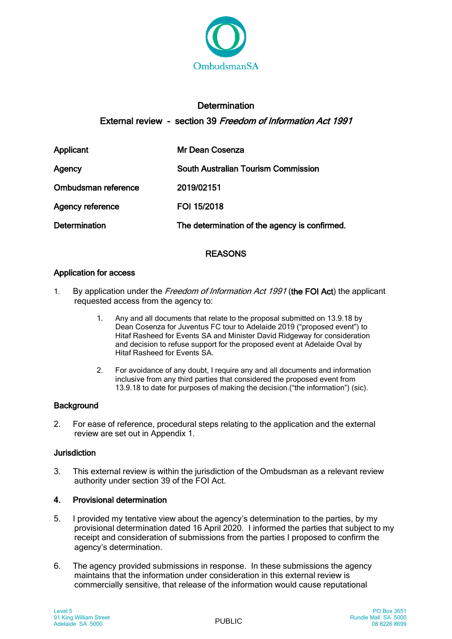

# **Determination** External review - section 39 Freedom of Information Act 1991

| Applicant               | <b>Mr Dean Cosenza</b>                        |
|-------------------------|-----------------------------------------------|
| Agency                  | <b>South Australian Tourism Commission</b>    |
| Ombudsman reference     | 2019/02151                                    |
| <b>Agency reference</b> | FOI 15/2018                                   |
| <b>Determination</b>    | The determination of the agency is confirmed. |

## REASONS

## Application for access

- 1. By application under the Freedom of Information Act 1991 (the FOI Act) the applicant requested access from the agency to:
	- 1. Any and all documents that relate to the proposal submitted on 13.9.18 by Dean Cosenza for Juventus FC tour to Adelaide 2019 ("proposed event") to Hitaf Rasheed for Events SA and Minister David Ridgeway for consideration and decision to refuse support for the proposed event at Adelaide Oval by Hitaf Rasheed for Events SA.
	- 2. For avoidance of any doubt, I require any and all documents and information inclusive from any third parties that considered the proposed event from 13.9.18 to date for purposes of making the decision.("the information") (sic).

## **Background**

2. For ease of reference, procedural steps relating to the application and the external review are set out in Appendix 1.

### Jurisdiction

3. This external review is within the jurisdiction of the Ombudsman as a relevant review authority under section 39 of the FOI Act.

## 4. Provisional determination

- 5. I provided my tentative view about the agency's determination to the parties, by my provisional determination dated 16 April 2020. I informed the parties that subject to my receipt and consideration of submissions from the parties I proposed to confirm the agency's determination.
- 6. The agency provided submissions in response. In these submissions the agency maintains that the information under consideration in this external review is commercially sensitive, that release of the information would cause reputational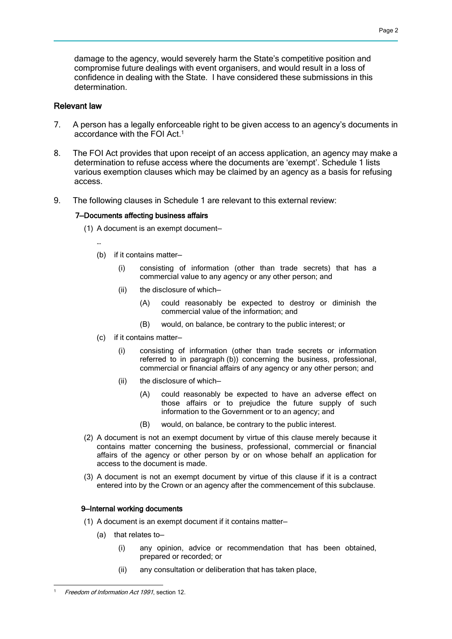damage to the agency, would severely harm the State's competitive position and compromise future dealings with event organisers, and would result in a loss of confidence in dealing with the State. I have considered these submissions in this determination.

### Relevant law

- 7. A person has a legally enforceable right to be given access to an agency's documents in accordance with the FOI Act.1
- 8. The FOI Act provides that upon receipt of an access application, an agency may make a determination to refuse access where the documents are 'exempt'. Schedule 1 lists various exemption clauses which may be claimed by an agency as a basis for refusing access.
- 9. The following clauses in Schedule 1 are relevant to this external review:

#### 7—Documents affecting business affairs

(1) A document is an exempt document—

…

- (b) if it contains matter—
	- (i) consisting of information (other than trade secrets) that has a commercial value to any agency or any other person; and
	- (ii) the disclosure of which—
		- (A) could reasonably be expected to destroy or diminish the commercial value of the information; and
		- (B) would, on balance, be contrary to the public interest; or
- (c) if it contains matter—
	- (i) consisting of information (other than trade secrets or information referred to in paragraph (b)) concerning the business, professional, commercial or financial affairs of any agency or any other person; and
	- (ii) the disclosure of which—
		- (A) could reasonably be expected to have an adverse effect on those affairs or to prejudice the future supply of such information to the Government or to an agency; and
		- (B) would, on balance, be contrary to the public interest.
- (2) A document is not an exempt document by virtue of this clause merely because it contains matter concerning the business, professional, commercial or financial affairs of the agency or other person by or on whose behalf an application for access to the document is made.
- (3) A document is not an exempt document by virtue of this clause if it is a contract entered into by the Crown or an agency after the commencement of this subclause.

#### 9—Internal working documents

- (1) A document is an exempt document if it contains matter—
	- (a) that relates to—
		- (i) any opinion, advice or recommendation that has been obtained, prepared or recorded; or
		- (ii) any consultation or deliberation that has taken place,

<sup>-</sup>Freedom of Information Act 1991, section 12.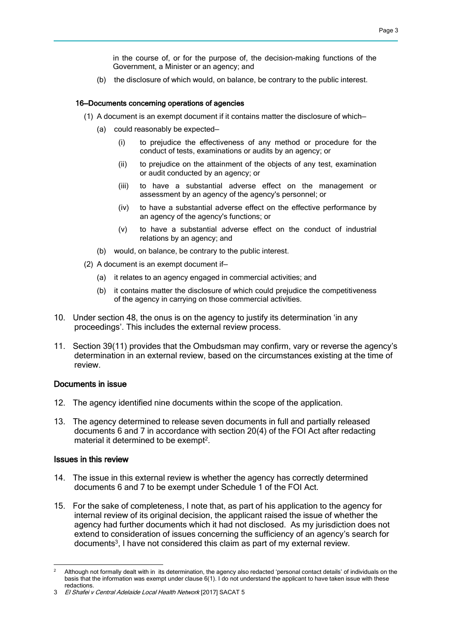in the course of, or for the purpose of, the decision-making functions of the Government, a Minister or an agency; and

(b) the disclosure of which would, on balance, be contrary to the public interest.

#### 16—Documents concerning operations of agencies

- (1) A document is an exempt document if it contains matter the disclosure of which—
	- (a) could reasonably be expected—
		- (i) to prejudice the effectiveness of any method or procedure for the conduct of tests, examinations or audits by an agency; or
		- (ii) to prejudice on the attainment of the objects of any test, examination or audit conducted by an agency; or
		- (iii) to have a substantial adverse effect on the management or assessment by an agency of the agency's personnel; or
		- (iv) to have a substantial adverse effect on the effective performance by an agency of the agency's functions; or
		- (v) to have a substantial adverse effect on the conduct of industrial relations by an agency; and
	- (b) would, on balance, be contrary to the public interest.
- (2) A document is an exempt document if—
	- (a) it relates to an agency engaged in commercial activities; and
	- (b) it contains matter the disclosure of which could prejudice the competitiveness of the agency in carrying on those commercial activities.
- 10. Under section 48, the onus is on the agency to justify its determination 'in any proceedings'. This includes the external review process.
- 11. Section 39(11) provides that the Ombudsman may confirm, vary or reverse the agency's determination in an external review, based on the circumstances existing at the time of review.

#### Documents in issue

- 12. The agency identified nine documents within the scope of the application.
- 13. The agency determined to release seven documents in full and partially released documents 6 and 7 in accordance with section 20(4) of the FOI Act after redacting material it determined to be exempt<sup>2</sup>.

#### Issues in this review

- 14. The issue in this external review is whether the agency has correctly determined documents 6 and 7 to be exempt under Schedule 1 of the FOI Act.
- 15. For the sake of completeness, I note that, as part of his application to the agency for internal review of its original decision, the applicant raised the issue of whether the agency had further documents which it had not disclosed. As my jurisdiction does not extend to consideration of issues concerning the sufficiency of an agency's search for documents<sup>3</sup>, I have not considered this claim as part of my external review.

<sup>-</sup><sup>2</sup> Although not formally dealt with in its determination, the agency also redacted 'personal contact details' of individuals on the basis that the information was exempt under clause 6(1). I do not understand the applicant to have taken issue with these redactions.

<sup>3</sup> El Shafei v Central Adelaide Local Health Network [2017] SACAT 5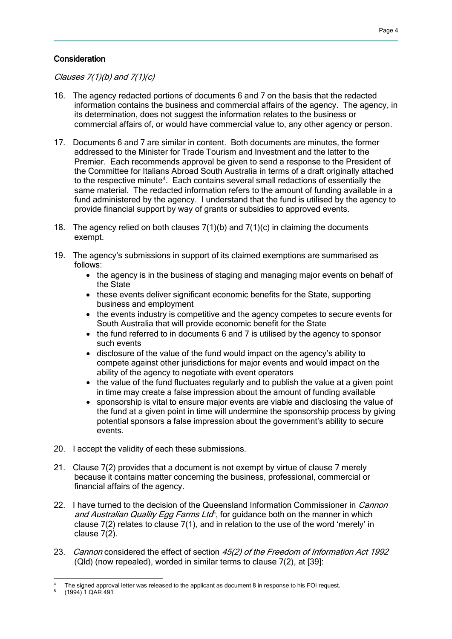### **Consideration**

Clauses  $7(1)(b)$  and  $7(1)(c)$ 

- 16. The agency redacted portions of documents 6 and 7 on the basis that the redacted information contains the business and commercial affairs of the agency. The agency, in its determination, does not suggest the information relates to the business or commercial affairs of, or would have commercial value to, any other agency or person.
- 17. Documents 6 and 7 are similar in content. Both documents are minutes, the former addressed to the Minister for Trade Tourism and Investment and the latter to the Premier. Each recommends approval be given to send a response to the President of the Committee for Italians Abroad South Australia in terms of a draft originally attached to the respective minute<sup>4</sup>. Each contains several small redactions of essentially the same material. The redacted information refers to the amount of funding available in a fund administered by the agency. I understand that the fund is utilised by the agency to provide financial support by way of grants or subsidies to approved events.
- 18. The agency relied on both clauses  $7(1)(b)$  and  $7(1)(c)$  in claiming the documents exempt.
- 19. The agency's submissions in support of its claimed exemptions are summarised as follows:
	- the agency is in the business of staging and managing major events on behalf of the State
	- these events deliver significant economic benefits for the State, supporting business and employment
	- the events industry is competitive and the agency competes to secure events for South Australia that will provide economic benefit for the State
	- the fund referred to in documents 6 and 7 is utilised by the agency to sponsor such events
	- disclosure of the value of the fund would impact on the agency's ability to compete against other jurisdictions for major events and would impact on the ability of the agency to negotiate with event operators
	- the value of the fund fluctuates regularly and to publish the value at a given point in time may create a false impression about the amount of funding available
	- sponsorship is vital to ensure major events are viable and disclosing the value of the fund at a given point in time will undermine the sponsorship process by giving potential sponsors a false impression about the government's ability to secure events.
- 20. I accept the validity of each these submissions.
- 21. Clause 7(2) provides that a document is not exempt by virtue of clause 7 merely because it contains matter concerning the business, professional, commercial or financial affairs of the agency.
- 22. I have turned to the decision of the Queensland Information Commissioner in *Cannon* and Australian Quality Egg Farms Lta<sup>5</sup>, for guidance both on the manner in which clause 7(2) relates to clause 7(1), and in relation to the use of the word 'merely' in clause 7(2).
- 23. Cannon considered the effect of section 45(2) of the Freedom of Information Act 1992 (Qld) (now repealed), worded in similar terms to clause 7(2), at [39]:

<sup>-</sup>The signed approval letter was released to the applicant as document 8 in response to his FOI request. (1994) 1 QAR 491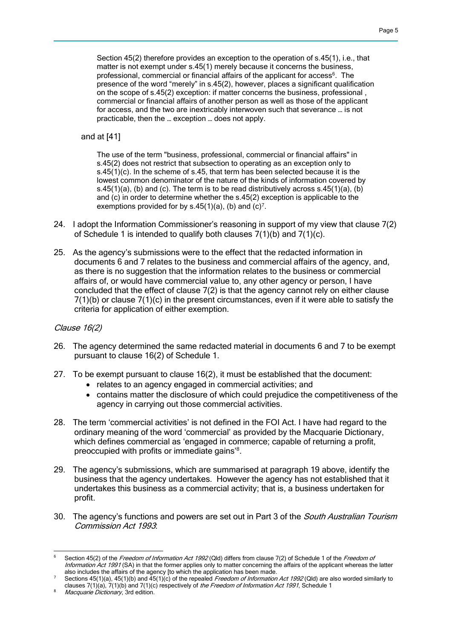Section 45(2) therefore provides an exception to the operation of s.45(1), i.e., that matter is not exempt under s.45(1) merely because it concerns the business, professional, commercial or financial affairs of the applicant for access<sup>6</sup>. The presence of the word "merely" in s.45(2), however, places a significant qualification on the scope of s.45(2) exception: if matter concerns the business, professional , commercial or financial affairs of another person as well as those of the applicant for access, and the two are inextricably interwoven such that severance … is not practicable, then the … exception … does not apply.

and at [41]

The use of the term "business, professional, commercial or financial affairs" in s.45(2) does not restrict that subsection to operating as an exception only to s.45(1)(c). In the scheme of s.45, that term has been selected because it is the lowest common denominator of the nature of the kinds of information covered by s.45(1)(a), (b) and (c). The term is to be read distributively across  $s.45(1)(a)$ , (b) and (c) in order to determine whether the s.45(2) exception is applicable to the exemptions provided for by  $s.45(1)(a)$ , (b) and  $(c)^7$ .

- 24. I adopt the Information Commissioner's reasoning in support of my view that clause 7(2) of Schedule 1 is intended to qualify both clauses 7(1)(b) and 7(1)(c).
- 25. As the agency's submissions were to the effect that the redacted information in documents 6 and 7 relates to the business and commercial affairs of the agency, and, as there is no suggestion that the information relates to the business or commercial affairs of, or would have commercial value to, any other agency or person, I have concluded that the effect of clause 7(2) is that the agency cannot rely on either clause 7(1)(b) or clause 7(1)(c) in the present circumstances, even if it were able to satisfy the criteria for application of either exemption.

#### Clause 16(2)

- 26. The agency determined the same redacted material in documents 6 and 7 to be exempt pursuant to clause 16(2) of Schedule 1.
- 27. To be exempt pursuant to clause 16(2), it must be established that the document:
	- relates to an agency engaged in commercial activities; and
	- contains matter the disclosure of which could prejudice the competitiveness of the agency in carrying out those commercial activities.
- 28. The term 'commercial activities' is not defined in the FOI Act. I have had regard to the ordinary meaning of the word 'commercial' as provided by the Macquarie Dictionary, which defines commercial as 'engaged in commerce; capable of returning a profit, preoccupied with profits or immediate gains'<sup>8</sup> .
- 29. The agency's submissions, which are summarised at paragraph 19 above, identify the business that the agency undertakes. However the agency has not established that it undertakes this business as a commercial activity; that is, a business undertaken for profit.
- 30. The agency's functions and powers are set out in Part 3 of the *South Australian Tourism* Commission Act 1993:

<sup>-</sup>Section 45(2) of the Freedom of Information Act 1992 (Qld) differs from clause 7(2) of Schedule 1 of the Freedom of Information Act 1991 (SA) in that the former applies only to matter concerning the affairs of the applicant whereas the latter also includes the affairs of the agency [to which the application has been made.

Sections  $45(1)(a)$ ,  $45(1)(b)$  and  $45(1)(c)$  of the repealed *Freedom of Information Act 1992* (Qld) are also worded similarly to clauses 7(1)(a),  $7(1)(b)$  and 7(1)(c) respectively of the Freedom of Information Act 1991, Schedule 1

Macquarie Dictionary, 3rd edition.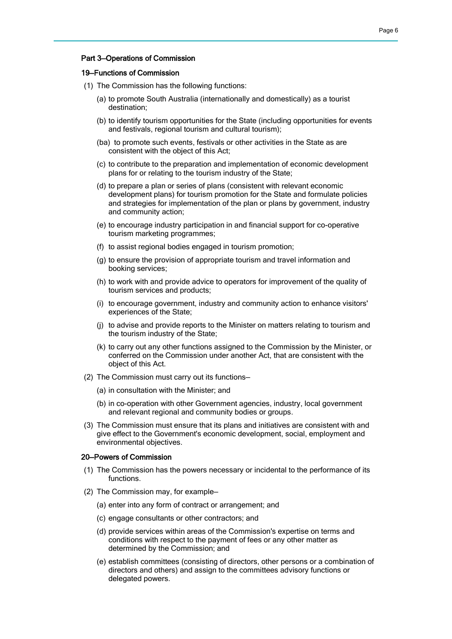#### Part 3—Operations of Commission

#### 19—Functions of Commission

- (1) The Commission has the following functions:
	- (a) to promote South Australia (internationally and domestically) as a tourist destination;
	- (b) to identify tourism opportunities for the State (including opportunities for events and festivals, regional tourism and cultural tourism);
	- (ba) to promote such events, festivals or other activities in the State as are consistent with the object of this Act;
	- (c) to contribute to the preparation and implementation of economic development plans for or relating to the tourism industry of the State;
	- (d) to prepare a plan or series of plans (consistent with relevant economic development plans) for tourism promotion for the State and formulate policies and strategies for implementation of the plan or plans by government, industry and community action;
	- (e) to encourage industry participation in and financial support for co-operative tourism marketing programmes;
	- (f) to assist regional bodies engaged in tourism promotion;
	- (g) to ensure the provision of appropriate tourism and travel information and booking services;
	- (h) to work with and provide advice to operators for improvement of the quality of tourism services and products;
	- (i) to encourage government, industry and community action to enhance visitors' experiences of the State;
	- (j) to advise and provide reports to the Minister on matters relating to tourism and the tourism industry of the State;
	- (k) to carry out any other functions assigned to the Commission by the Minister, or conferred on the Commission under another Act, that are consistent with the object of this Act.
- (2) The Commission must carry out its functions—
	- (a) in consultation with the Minister; and
	- (b) in co-operation with other Government agencies, industry, local government and relevant regional and community bodies or groups.
- (3) The Commission must ensure that its plans and initiatives are consistent with and give effect to the Government's economic development, social, employment and environmental objectives.

#### 20—Powers of Commission

- (1) The Commission has the powers necessary or incidental to the performance of its functions.
- (2) The Commission may, for example—
	- (a) enter into any form of contract or arrangement; and
	- (c) engage consultants or other contractors; and
	- (d) provide services within areas of the Commission's expertise on terms and conditions with respect to the payment of fees or any other matter as determined by the Commission; and
	- (e) establish committees (consisting of directors, other persons or a combination of directors and others) and assign to the committees advisory functions or delegated powers.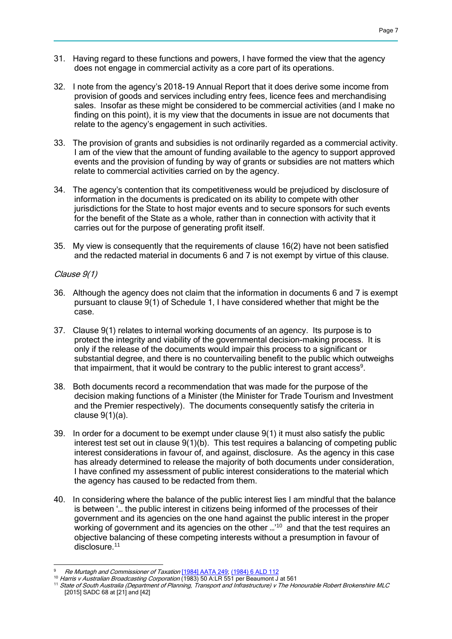- 31. Having regard to these functions and powers, I have formed the view that the agency does not engage in commercial activity as a core part of its operations.
- 32. I note from the agency's 2018-19 Annual Report that it does derive some income from provision of goods and services including entry fees, licence fees and merchandising sales. Insofar as these might be considered to be commercial activities (and I make no finding on this point), it is my view that the documents in issue are not documents that relate to the agency's engagement in such activities.
- 33. The provision of grants and subsidies is not ordinarily regarded as a commercial activity. I am of the view that the amount of funding available to the agency to support approved events and the provision of funding by way of grants or subsidies are not matters which relate to commercial activities carried on by the agency.
- 34. The agency's contention that its competitiveness would be prejudiced by disclosure of information in the documents is predicated on its ability to compete with other jurisdictions for the State to host major events and to secure sponsors for such events for the benefit of the State as a whole, rather than in connection with activity that it carries out for the purpose of generating profit itself.
- 35. My view is consequently that the requirements of clause 16(2) have not been satisfied and the redacted material in documents 6 and 7 is not exempt by virtue of this clause.

### Clause 9(1)

- 36. Although the agency does not claim that the information in documents 6 and 7 is exempt pursuant to clause 9(1) of Schedule 1, I have considered whether that might be the case.
- 37. Clause 9(1) relates to internal working documents of an agency. Its purpose is to protect the integrity and viability of the governmental decision-making process. It is only if the release of the documents would impair this process to a significant or substantial degree, and there is no countervailing benefit to the public which outweighs that impairment, that it would be contrary to the public interest to grant access<sup>9</sup>.
- 38. Both documents record a recommendation that was made for the purpose of the decision making functions of a Minister (the Minister for Trade Tourism and Investment and the Premier respectively). The documents consequently satisfy the criteria in clause 9(1)(a).
- 39. In order for a document to be exempt under clause 9(1) it must also satisfy the public interest test set out in clause 9(1)(b). This test requires a balancing of competing public interest considerations in favour of, and against, disclosure. As the agency in this case has already determined to release the majority of both documents under consideration, I have confined my assessment of public interest considerations to the material which the agency has caused to be redacted from them.
- 40. In considering where the balance of the public interest lies I am mindful that the balance is between '… the public interest in citizens being informed of the processes of their government and its agencies on the one hand against the public interest in the proper working of government and its agencies on the other ...<sup>10</sup> and that the test requires an objective balancing of these competing interests without a presumption in favour of disclosure.<sup>11</sup>

<sup>-</sup>Re Murtagh and Commissioner of Taxation [\[1984\] AATA 249;](http://www.austlii.edu.au/cgi-bin/viewdoc/au/cases/cth/AATA/1984/249.html) [\(1984\) 6 ALD 112](http://www.austlii.edu.au/cgi-bin/LawCite?cit=%281984%29%206%20ALD%20112)

<sup>10</sup> Harris v Australian Broadcasting Corporation (1983) 50 A:LR 551 per Beaumont J at 561

<sup>11</sup> State of South Australia (Department of Planning, Transport and Infrastructure) v The Honourable Robert Brokenshire MLC [2015] SADC 68 at [21] and [42]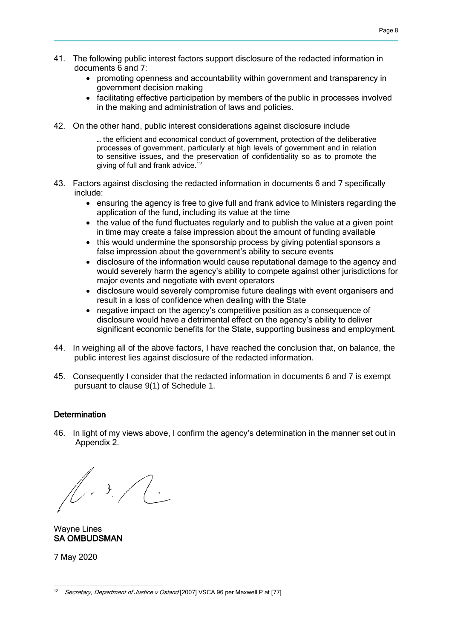- 41. The following public interest factors support disclosure of the redacted information in documents 6 and 7:
	- promoting openness and accountability within government and transparency in government decision making
	- facilitating effective participation by members of the public in processes involved in the making and administration of laws and policies.
- 42. On the other hand, public interest considerations against disclosure include

… the efficient and economical conduct of government, protection of the deliberative processes of government, particularly at high levels of government and in relation to sensitive issues, and the preservation of confidentiality so as to promote the giving of full and frank advice.<sup>[12](http://classic.austlii.edu.au/cgi-bin/sinodisp/au/cases/vic/VSCA/2007/96.html?stem=0&synonyms=0&query=Secretary,%20Department%20of%20Justice%20v%20Osland#fn91)</sup>

- 43. Factors against disclosing the redacted information in documents 6 and 7 specifically include:
	- ensuring the agency is free to give full and frank advice to Ministers regarding the application of the fund, including its value at the time
	- the value of the fund fluctuates regularly and to publish the value at a given point in time may create a false impression about the amount of funding available
	- this would undermine the sponsorship process by giving potential sponsors a false impression about the government's ability to secure events
	- disclosure of the information would cause reputational damage to the agency and would severely harm the agency's ability to compete against other jurisdictions for major events and negotiate with event operators
	- disclosure would severely compromise future dealings with event organisers and result in a loss of confidence when dealing with the State
	- negative impact on the agency's competitive position as a consequence of disclosure would have a detrimental effect on the agency's ability to deliver significant economic benefits for the State, supporting business and employment.
- 44. In weighing all of the above factors, I have reached the conclusion that, on balance, the public interest lies against disclosure of the redacted information.
- 45. Consequently I consider that the redacted information in documents 6 and 7 is exempt pursuant to clause 9(1) of Schedule 1.

### **Determination**

46. In light of my views above, I confirm the agency's determination in the manner set out in Appendix 2.

 $\sqrt{3}$ .

Wayne Lines SA OMBUDSMAN

7 May 2020

<sup>-</sup>12 Secretary, Department of Justice v Osland [2007] VSCA 96 per Maxwell P at [77]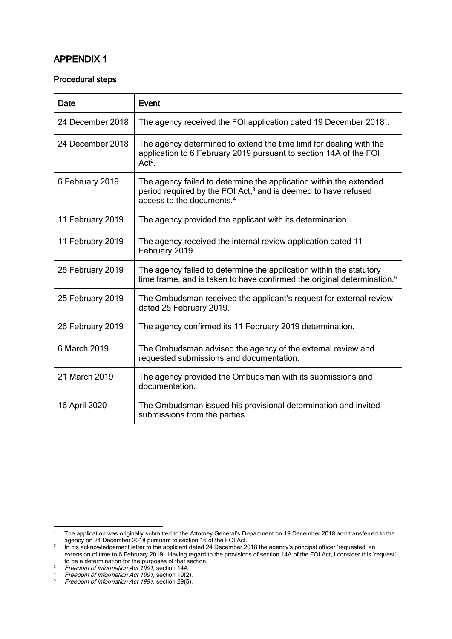## APPENDIX 1

### Procedural steps

| Date             | Event                                                                                                                                                                                     |
|------------------|-------------------------------------------------------------------------------------------------------------------------------------------------------------------------------------------|
| 24 December 2018 | The agency received the FOI application dated 19 December 2018 <sup>1</sup> .                                                                                                             |
| 24 December 2018 | The agency determined to extend the time limit for dealing with the<br>application to 6 February 2019 pursuant to section 14A of the FOI<br>$Act2$ .                                      |
| 6 February 2019  | The agency failed to determine the application within the extended<br>period required by the FOI Act, <sup>3</sup> and is deemed to have refused<br>access to the documents. <sup>4</sup> |
| 11 February 2019 | The agency provided the applicant with its determination.                                                                                                                                 |
| 11 February 2019 | The agency received the internal review application dated 11<br>February 2019.                                                                                                            |
| 25 February 2019 | The agency failed to determine the application within the statutory<br>time frame, and is taken to have confirmed the original determination. <sup>5</sup>                                |
| 25 February 2019 | The Ombudsman received the applicant's request for external review<br>dated 25 February 2019.                                                                                             |
| 26 February 2019 | The agency confirmed its 11 February 2019 determination.                                                                                                                                  |
| 6 March 2019     | The Ombudsman advised the agency of the external review and<br>requested submissions and documentation.                                                                                   |
| 21 March 2019    | The agency provided the Ombudsman with its submissions and<br>documentation.                                                                                                              |
| 16 April 2020    | The Ombudsman issued his provisional determination and invited<br>submissions from the parties.                                                                                           |

 $\overline{1}$ <sup>1</sup> The application was originally submitted to the Attorney General's Department on 19 December 2018 and transferred to the agency on 24 December 2018 pursuant to section 16 of the FOI Act.

 $2$  In his acknowledgement letter to the applicant dated 24 December 2018 the agency's principal officer 'requested' an extension of time to 6 February 2019. Having regard to the provisions of section 14A of the FOI Act, I consider this 'request' to be a determination for the purposes of that section.

<sup>&</sup>lt;sup>3</sup> Freedom of Information Act 1991, section 14A.

<sup>&</sup>lt;sup>4</sup> Freedom of Information Act 1991, section 19(2).

<sup>&</sup>lt;sup>5</sup> Freedom of Information Act 1991, section 29(5).